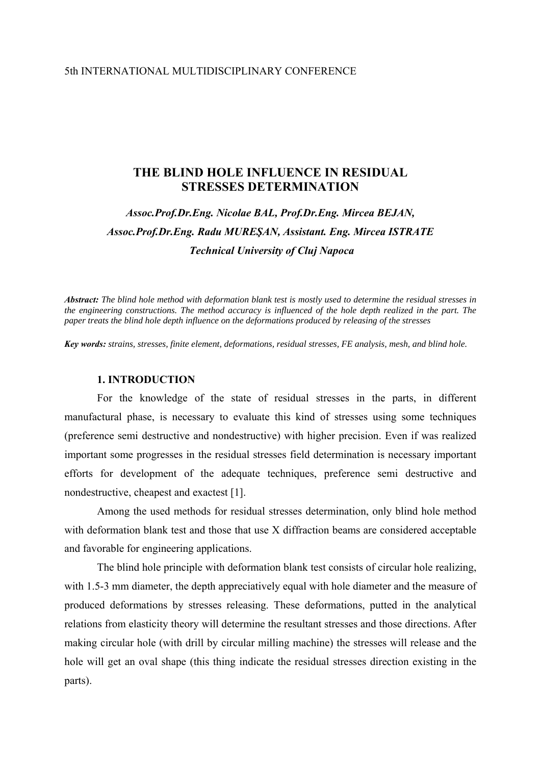## 5th INTERNATIONAL MULTIDISCIPLINARY CONFERENCE

# **THE BLIND HOLE INFLUENCE IN RESIDUAL STRESSES DETERMINATION**

# *Assoc.Prof.Dr.Eng. Nicolae BAL, Prof.Dr.Eng. Mircea BEJAN, Assoc.Prof.Dr.Eng. Radu MUREŞAN, Assistant. Eng. Mircea ISTRATE Technical University of Cluj Napoca*

*Abstract: The blind hole method with deformation blank test is mostly used to determine the residual stresses in the engineering constructions. The method accuracy is influenced of the hole depth realized in the part. The paper treats the blind hole depth influence on the deformations produced by releasing of the stresses*

*Key words: strains, stresses, finite element, deformations, residual stresses, FE analysis, mesh, and blind hole.* 

#### **1. INTRODUCTION**

For the knowledge of the state of residual stresses in the parts, in different manufactural phase, is necessary to evaluate this kind of stresses using some techniques (preference semi destructive and nondestructive) with higher precision. Even if was realized important some progresses in the residual stresses field determination is necessary important efforts for development of the adequate techniques, preference semi destructive and nondestructive, cheapest and exactest [1].

Among the used methods for residual stresses determination, only blind hole method with deformation blank test and those that use X diffraction beams are considered acceptable and favorable for engineering applications.

The blind hole principle with deformation blank test consists of circular hole realizing, with 1.5-3 mm diameter, the depth appreciatively equal with hole diameter and the measure of produced deformations by stresses releasing. These deformations, putted in the analytical relations from elasticity theory will determine the resultant stresses and those directions. After making circular hole (with drill by circular milling machine) the stresses will release and the hole will get an oval shape (this thing indicate the residual stresses direction existing in the parts).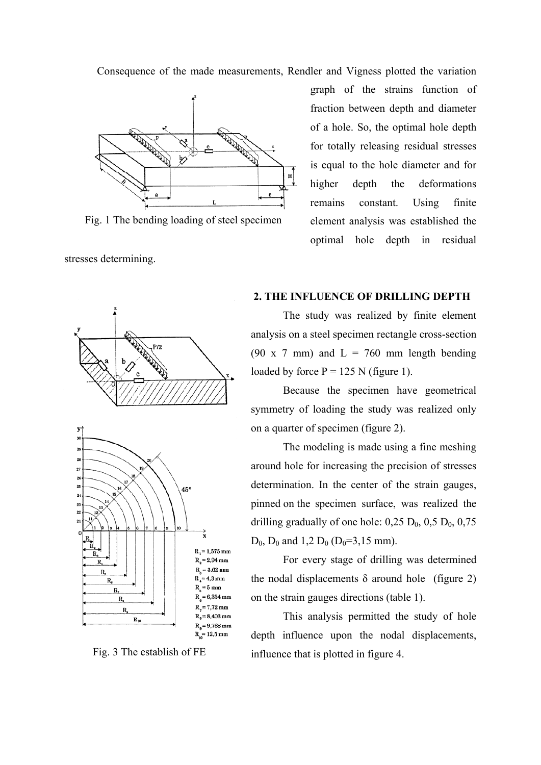Consequence of the made measurements, Rendler and Vigness plotted the variation



Fig. 1 The bending loading of steel specimen

stresses determining.

graph of the strains function of fraction between depth and diameter of a hole. So, the optimal hole depth for totally releasing residual stresses is equal to the hole diameter and for higher depth the deformations remains constant. Using finite element analysis was established the optimal hole depth in residual



 **2. THE INFLUENCE OF DRILLING DEPTH**

 The study was realized by finite element analysis on a steel specimen rectangle cross-section (90 x 7 mm) and  $L = 760$  mm length bending loaded by force  $P = 125$  N (figure 1).

 Because the specimen have geometrical symmetry of loading the study was realized only on a quarter of specimen (figure 2).

 The modeling is made using a fine meshing around hole for increasing the precision of stresses determination. In the center of the strain gauges, pinned on the specimen surface, was realized the drilling gradually of one hole:  $0.25 \text{ D}_0$ ,  $0.5 \text{ D}_0$ ,  $0.75$  $D_0$ ,  $D_0$  and 1,2  $D_0$  ( $D_0=3,15$  mm).

For every stage of drilling was determined the nodal displacements  $\delta$  around hole (figure 2) on the strain gauges directions (table 1).

 This analysis permitted the study of hole depth influence upon the nodal displacements, Fig. 3 The establish of FE influence that is plotted in figure 4.

 $R_a = 9,768$  mm  $R = 12.5$  mm

 $R_{10}$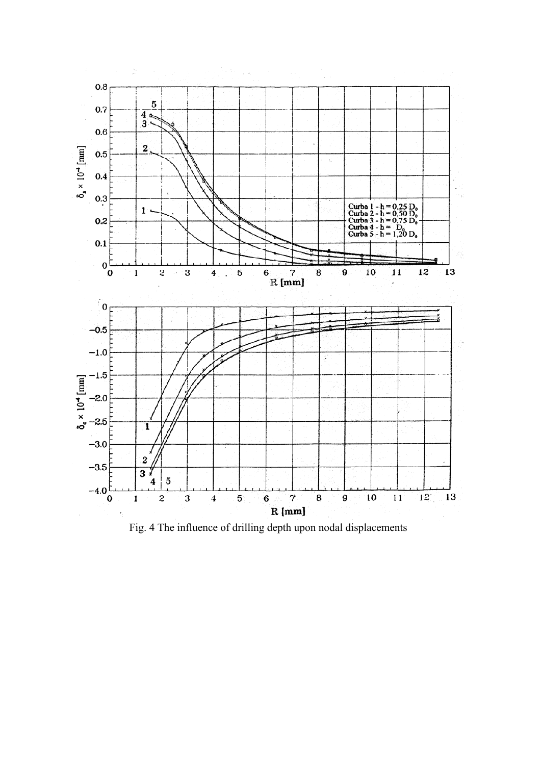

Fig. 4 The influence of drilling depth upon nodal displacements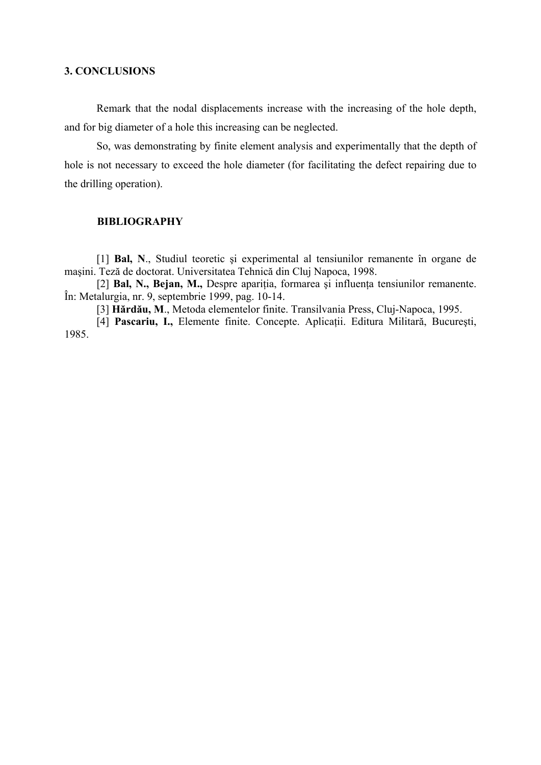# **3. CONCLUSIONS**

Remark that the nodal displacements increase with the increasing of the hole depth, and for big diameter of a hole this increasing can be neglected.

 So, was demonstrating by finite element analysis and experimentally that the depth of hole is not necessary to exceed the hole diameter (for facilitating the defect repairing due to the drilling operation).

# **BIBLIOGRAPHY**

[1] **Bal, N**., Studiul teoretic şi experimental al tensiunilor remanente în organe de maşini. Teză de doctorat. Universitatea Tehnică din Cluj Napoca, 1998.

[2] **Bal, N., Bejan, M.,** Despre apariția, formarea și influența tensiunilor remanente. În: Metalurgia, nr. 9, septembrie 1999, pag. 10-14.

[3] **Hărdău, M**., Metoda elementelor finite. Transilvania Press, Cluj-Napoca, 1995.

[4] **Pascariu, I.,** Elemente finite. Concepte. Aplicaţii. Editura Militară, Bucureşti, 1985.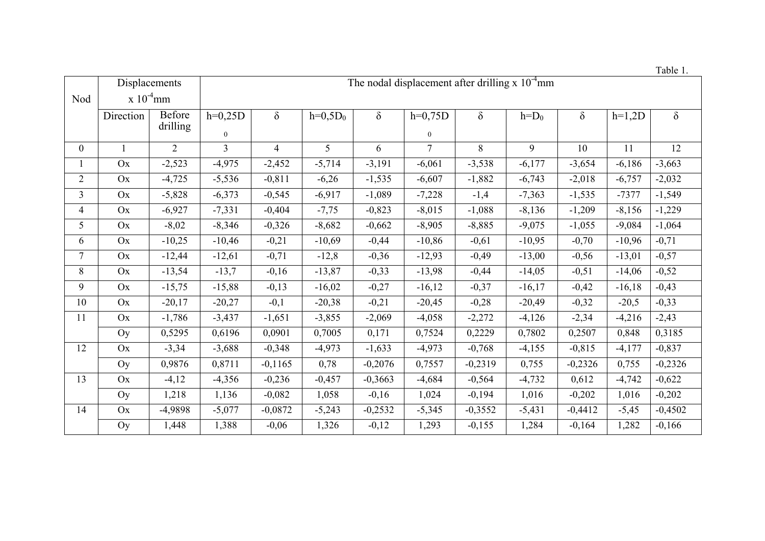Table 1.

|                | Displacements      |                | The nodal displacement after drilling x $10^{-4}$ mm |                |            |           |                |           |           |           |          |           |  |
|----------------|--------------------|----------------|------------------------------------------------------|----------------|------------|-----------|----------------|-----------|-----------|-----------|----------|-----------|--|
| Nod            | $\rm x 10^{-4}$ mm |                |                                                      |                |            |           |                |           |           |           |          |           |  |
|                | Direction          | <b>Before</b>  | $h=0,25D$                                            | $\delta$       | $h=0,5D_0$ | $\delta$  | $h=0,75D$      | $\delta$  | $h = D_0$ | $\delta$  | $h=1,2D$ | $\delta$  |  |
|                |                    | drilling       | $\mathbf{0}$                                         |                |            |           | $\overline{0}$ |           |           |           |          |           |  |
| $\overline{0}$ |                    | $\overline{2}$ | $\overline{3}$                                       | $\overline{4}$ | 5          | 6         | $\tau$         | 8         | 9         | 10        | 11       | 12        |  |
|                | <b>Ox</b>          | $-2,523$       | $-4,975$                                             | $-2,452$       | $-5,714$   | $-3,191$  | $-6,061$       | $-3,538$  | $-6,177$  | $-3,654$  | $-6,186$ | $-3,663$  |  |
| $\overline{2}$ | Ox                 | $-4,725$       | $-5,536$                                             | $-0,811$       | $-6,26$    | $-1,535$  | $-6,607$       | $-1,882$  | $-6,743$  | $-2,018$  | $-6,757$ | $-2,032$  |  |
| $\overline{3}$ | Ox                 | $-5,828$       | $-6,373$                                             | $-0,545$       | $-6,917$   | $-1,089$  | $-7,228$       | $-1,4$    | $-7,363$  | $-1,535$  | $-7377$  | $-1,549$  |  |
| $\overline{4}$ | Ox                 | $-6,927$       | $-7,331$                                             | $-0,404$       | $-7,75$    | $-0,823$  | $-8,015$       | $-1,088$  | $-8,136$  | $-1,209$  | $-8,156$ | $-1,229$  |  |
| 5              | Ox                 | $-8,02$        | $-8,346$                                             | $-0,326$       | $-8,682$   | $-0,662$  | $-8,905$       | $-8,885$  | $-9,075$  | $-1,055$  | $-9,084$ | $-1,064$  |  |
| 6              | Ox                 | $-10,25$       | $-10,46$                                             | $-0,21$        | $-10,69$   | $-0,44$   | $-10,86$       | $-0,61$   | $-10,95$  | $-0,70$   | $-10,96$ | $-0,71$   |  |
| $\overline{7}$ | Ox                 | $-12,44$       | $-12,61$                                             | $-0,71$        | $-12,8$    | $-0,36$   | $-12,93$       | $-0,49$   | $-13,00$  | $-0,56$   | $-13,01$ | $-0,57$   |  |
| 8              | Ox                 | $-13,54$       | $-13,7$                                              | $-0,16$        | $-13,87$   | $-0,33$   | $-13,98$       | $-0,44$   | $-14,05$  | $-0,51$   | $-14,06$ | $-0,52$   |  |
| 9              | Ox                 | $-15,75$       | $-15,88$                                             | $-0,13$        | $-16,02$   | $-0,27$   | $-16,12$       | $-0,37$   | $-16,17$  | $-0,42$   | $-16,18$ | $-0,43$   |  |
| 10             | Ox                 | $-20,17$       | $-20,27$                                             | $-0,1$         | $-20,38$   | $-0,21$   | $-20,45$       | $-0,28$   | $-20,49$  | $-0,32$   | $-20,5$  | $-0,33$   |  |
| 11             | Ox                 | $-1,786$       | $-3,437$                                             | $-1,651$       | $-3,855$   | $-2,069$  | $-4,058$       | $-2,272$  | $-4,126$  | $-2,34$   | $-4,216$ | $-2,43$   |  |
|                | Oy                 | 0,5295         | 0,6196                                               | 0,0901         | 0,7005     | 0,171     | 0,7524         | 0,2229    | 0,7802    | 0,2507    | 0,848    | 0,3185    |  |
| 12             | Ox                 | $-3,34$        | $-3,688$                                             | $-0,348$       | $-4,973$   | $-1,633$  | $-4,973$       | $-0,768$  | $-4,155$  | $-0,815$  | $-4,177$ | $-0,837$  |  |
|                | Oy                 | 0,9876         | 0,8711                                               | $-0,1165$      | 0,78       | $-0,2076$ | 0,7557         | $-0,2319$ | 0,755     | $-0,2326$ | 0,755    | $-0,2326$ |  |
| 13             | Ox                 | $-4,12$        | $-4,356$                                             | $-0,236$       | $-0,457$   | $-0,3663$ | $-4,684$       | $-0,564$  | $-4,732$  | 0,612     | $-4,742$ | $-0,622$  |  |
|                | Oy                 | 1,218          | 1,136                                                | $-0,082$       | 1,058      | $-0,16$   | 1,024          | $-0,194$  | 1,016     | $-0,202$  | 1,016    | $-0,202$  |  |
| 14             | Ox                 | -4,9898        | $-5,077$                                             | $-0,0872$      | $-5,243$   | $-0,2532$ | $-5,345$       | $-0,3552$ | $-5,431$  | $-0,4412$ | $-5,45$  | $-0,4502$ |  |
|                | Oy                 | 1,448          | 1,388                                                | $-0,06$        | 1,326      | $-0,12$   | 1,293          | $-0,155$  | 1,284     | $-0,164$  | 1,282    | $-0,166$  |  |